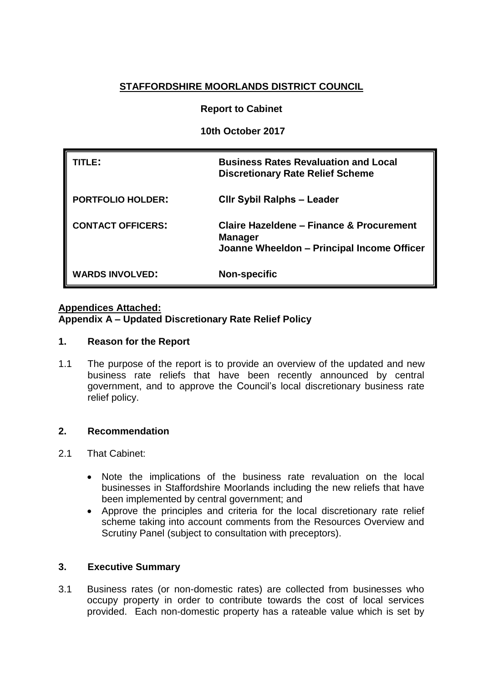# **STAFFORDSHIRE MOORLANDS DISTRICT COUNCIL**

# **Report to Cabinet**

**10th October 2017**

| TLE:                     | <b>Business Rates Revaluation and Local</b><br><b>Discretionary Rate Relief Scheme</b>                   |
|--------------------------|----------------------------------------------------------------------------------------------------------|
| <b>PORTFOLIO HOLDER:</b> | <b>CIIr Sybil Ralphs - Leader</b>                                                                        |
| <b>CONTACT OFFICERS:</b> | Claire Hazeldene – Finance & Procurement<br><b>Manager</b><br>Joanne Wheeldon - Principal Income Officer |
| <b>WARDS INVOLVED:</b>   | <b>Non-specific</b>                                                                                      |

## **Appendices Attached:**

**Appendix A – Updated Discretionary Rate Relief Policy**

## **1. Reason for the Report**

1.1 The purpose of the report is to provide an overview of the updated and new business rate reliefs that have been recently announced by central government, and to approve the Council's local discretionary business rate relief policy.

## **2. Recommendation**

- 2.1 That Cabinet:
	- Note the implications of the business rate revaluation on the local businesses in Staffordshire Moorlands including the new reliefs that have been implemented by central government; and
	- Approve the principles and criteria for the local discretionary rate relief scheme taking into account comments from the Resources Overview and Scrutiny Panel (subject to consultation with preceptors).

## **3. Executive Summary**

3.1 Business rates (or non-domestic rates) are collected from businesses who occupy property in order to contribute towards the cost of local services provided. Each non-domestic property has a rateable value which is set by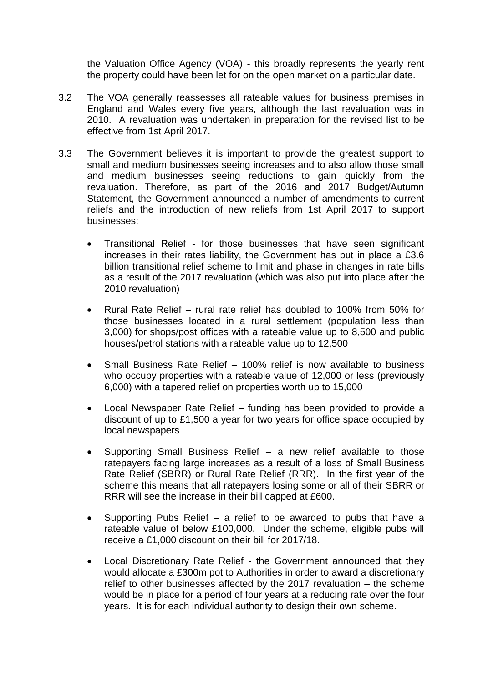the Valuation Office Agency (VOA) - this broadly represents the yearly rent the property could have been let for on the open market on a particular date.

- 3.2 The VOA generally reassesses all rateable values for business premises in England and Wales every five years, although the last revaluation was in 2010. A revaluation was undertaken in preparation for the revised list to be effective from 1st April 2017.
- 3.3 The Government believes it is important to provide the greatest support to small and medium businesses seeing increases and to also allow those small and medium businesses seeing reductions to gain quickly from the revaluation. Therefore, as part of the 2016 and 2017 Budget/Autumn Statement, the Government announced a number of amendments to current reliefs and the introduction of new reliefs from 1st April 2017 to support businesses:
	- Transitional Relief for those businesses that have seen significant increases in their rates liability, the Government has put in place a £3.6 billion transitional relief scheme to limit and phase in changes in rate bills as a result of the 2017 revaluation (which was also put into place after the 2010 revaluation)
	- Rural Rate Relief rural rate relief has doubled to 100% from 50% for those businesses located in a rural settlement (population less than 3,000) for shops/post offices with a rateable value up to 8,500 and public houses/petrol stations with a rateable value up to 12,500
	- Small Business Rate Relief 100% relief is now available to business who occupy properties with a rateable value of 12,000 or less (previously 6,000) with a tapered relief on properties worth up to 15,000
	- Local Newspaper Rate Relief funding has been provided to provide a discount of up to £1,500 a year for two years for office space occupied by local newspapers
	- Supporting Small Business Relief a new relief available to those ratepayers facing large increases as a result of a loss of Small Business Rate Relief (SBRR) or Rural Rate Relief (RRR). In the first year of the scheme this means that all ratepayers losing some or all of their SBRR or RRR will see the increase in their bill capped at £600.
	- Supporting Pubs Relief a relief to be awarded to pubs that have a rateable value of below £100,000. Under the scheme, eligible pubs will receive a £1,000 discount on their bill for 2017/18.
	- Local Discretionary Rate Relief the Government announced that they would allocate a £300m pot to Authorities in order to award a discretionary relief to other businesses affected by the 2017 revaluation – the scheme would be in place for a period of four years at a reducing rate over the four years. It is for each individual authority to design their own scheme.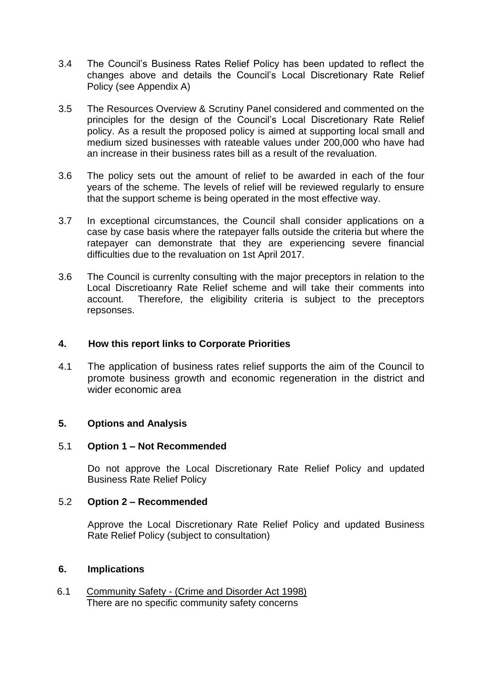- 3.4 The Council's Business Rates Relief Policy has been updated to reflect the changes above and details the Council's Local Discretionary Rate Relief Policy (see Appendix A)
- 3.5 The Resources Overview & Scrutiny Panel considered and commented on the principles for the design of the Council's Local Discretionary Rate Relief policy. As a result the proposed policy is aimed at supporting local small and medium sized businesses with rateable values under 200,000 who have had an increase in their business rates bill as a result of the revaluation.
- 3.6 The policy sets out the amount of relief to be awarded in each of the four years of the scheme. The levels of relief will be reviewed regularly to ensure that the support scheme is being operated in the most effective way.
- 3.7 In exceptional circumstances, the Council shall consider applications on a case by case basis where the ratepayer falls outside the criteria but where the ratepayer can demonstrate that they are experiencing severe financial difficulties due to the revaluation on 1st April 2017.
- 3.6 The Council is currenlty consulting with the major preceptors in relation to the Local Discretioanry Rate Relief scheme and will take their comments into account. Therefore, the eligibility criteria is subject to the preceptors repsonses.

## **4. How this report links to Corporate Priorities**

4.1 The application of business rates relief supports the aim of the Council to promote business growth and economic regeneration in the district and wider economic area

## **5. Options and Analysis**

## 5.1 **Option 1 – Not Recommended**

Do not approve the Local Discretionary Rate Relief Policy and updated Business Rate Relief Policy

## 5.2 **Option 2 – Recommended**

Approve the Local Discretionary Rate Relief Policy and updated Business Rate Relief Policy (subject to consultation)

#### **6. Implications**

6.1 Community Safety - (Crime and Disorder Act 1998) There are no specific community safety concerns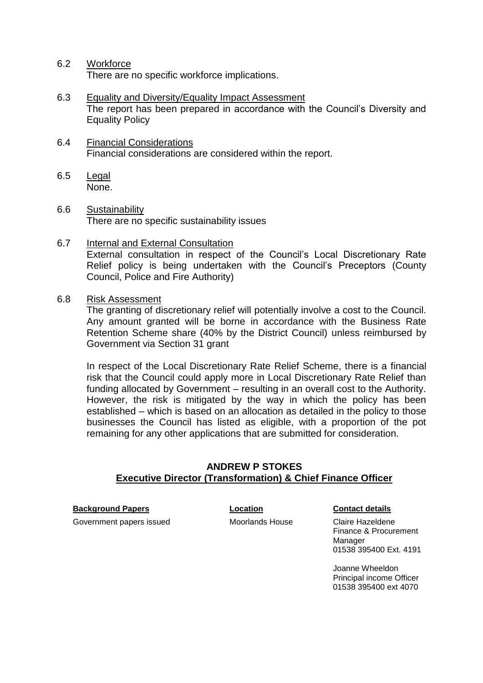#### 6.2 Workforce

There are no specific workforce implications.

- 6.3 Equality and Diversity/Equality Impact Assessment The report has been prepared in accordance with the Council's Diversity and Equality Policy
- 6.4 Financial Considerations Financial considerations are considered within the report.
- 6.5 Legal None.
- 6.6 Sustainability There are no specific sustainability issues
- 6.7 Internal and External Consultation External consultation in respect of the Council's Local Discretionary Rate Relief policy is being undertaken with the Council's Preceptors (County Council, Police and Fire Authority)
- 6.8 Risk Assessment

The granting of discretionary relief will potentially involve a cost to the Council. Any amount granted will be borne in accordance with the Business Rate Retention Scheme share (40% by the District Council) unless reimbursed by Government via Section 31 grant

In respect of the Local Discretionary Rate Relief Scheme, there is a financial risk that the Council could apply more in Local Discretionary Rate Relief than funding allocated by Government – resulting in an overall cost to the Authority. However, the risk is mitigated by the way in which the policy has been established – which is based on an allocation as detailed in the policy to those businesses the Council has listed as eligible, with a proportion of the pot remaining for any other applications that are submitted for consideration.

## **ANDREW P STOKES Executive Director (Transformation) & Chief Finance Officer**

**Background Papers Location Contact details**

Government papers issued **Moorlands House** Claire Hazeldene

Finance & Procurement Manager 01538 395400 Ext. 4191

Joanne Wheeldon Principal income Officer 01538 395400 ext 4070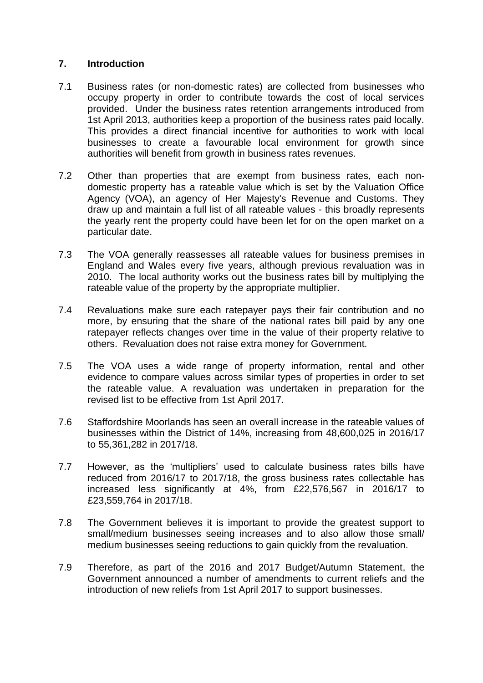# **7. Introduction**

- 7.1 Business rates (or non-domestic rates) are collected from businesses who occupy property in order to contribute towards the cost of local services provided. Under the business rates retention arrangements introduced from 1st April 2013, authorities keep a proportion of the business rates paid locally. This provides a direct financial incentive for authorities to work with local businesses to create a favourable local environment for growth since authorities will benefit from growth in business rates revenues.
- 7.2 Other than properties that are exempt from business rates, each nondomestic property has a rateable value which is set by the Valuation Office Agency (VOA), an agency of Her Majesty's Revenue and Customs. They draw up and maintain a full list of all rateable values - this broadly represents the yearly rent the property could have been let for on the open market on a particular date.
- 7.3 The VOA generally reassesses all rateable values for business premises in England and Wales every five years, although previous revaluation was in 2010. The local authority works out the business rates bill by multiplying the rateable value of the property by the appropriate multiplier.
- 7.4 Revaluations make sure each ratepayer pays their fair contribution and no more, by ensuring that the share of the national rates bill paid by any one ratepayer reflects changes over time in the value of their property relative to others. Revaluation does not raise extra money for Government.
- 7.5 The VOA uses a wide range of property information, rental and other evidence to compare values across similar types of properties in order to set the rateable value. A revaluation was undertaken in preparation for the revised list to be effective from 1st April 2017.
- 7.6 Staffordshire Moorlands has seen an overall increase in the rateable values of businesses within the District of 14%, increasing from 48,600,025 in 2016/17 to 55,361,282 in 2017/18.
- 7.7 However, as the 'multipliers' used to calculate business rates bills have reduced from 2016/17 to 2017/18, the gross business rates collectable has increased less significantly at 4%, from £22,576,567 in 2016/17 to £23,559,764 in 2017/18.
- 7.8 The Government believes it is important to provide the greatest support to small/medium businesses seeing increases and to also allow those small/ medium businesses seeing reductions to gain quickly from the revaluation.
- 7.9 Therefore, as part of the 2016 and 2017 Budget/Autumn Statement, the Government announced a number of amendments to current reliefs and the introduction of new reliefs from 1st April 2017 to support businesses.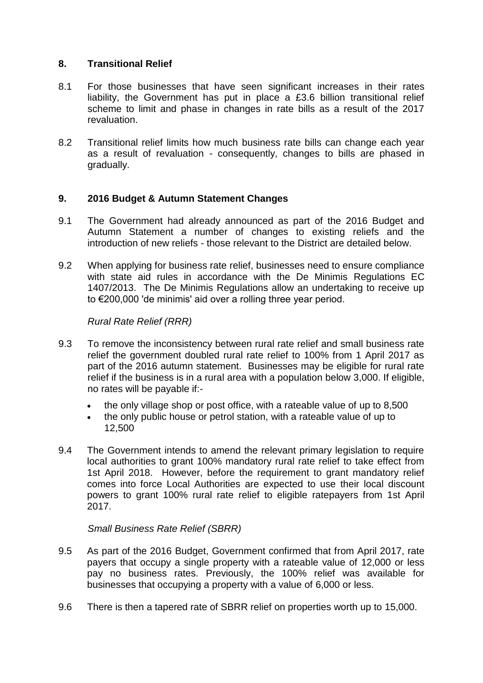## **8. Transitional Relief**

- 8.1 For those businesses that have seen significant increases in their rates liability, the Government has put in place a £3.6 billion transitional relief scheme to limit and phase in changes in rate bills as a result of the 2017 revaluation.
- 8.2 Transitional relief limits how much business rate bills can change each year as a result of revaluation - consequently, changes to bills are phased in gradually.

# **9. 2016 Budget & Autumn Statement Changes**

- 9.1 The Government had already announced as part of the 2016 Budget and Autumn Statement a number of changes to existing reliefs and the introduction of new reliefs - those relevant to the District are detailed below.
- 9.2 When applying for business rate relief, businesses need to ensure compliance with state aid rules in accordance with the De Minimis Regulations EC 1407/2013. The De Minimis Regulations allow an undertaking to receive up to €200,000 'de minimis' aid over a rolling three year period.

## *Rural Rate Relief (RRR)*

- 9.3 To remove the inconsistency between rural rate relief and small business rate relief the government doubled rural rate relief to 100% from 1 April 2017 as part of the 2016 autumn statement. Businesses may be eligible for rural rate relief if the business is in a rural area with a population below 3,000. If eligible, no rates will be payable if:
	- the only village shop or post office, with a rateable value of up to 8,500
	- the only public house or petrol station, with a rateable value of up to 12,500
- 9.4 The Government intends to amend the relevant primary legislation to require local authorities to grant 100% mandatory rural rate relief to take effect from 1st April 2018. However, before the requirement to grant mandatory relief comes into force Local Authorities are expected to use their local discount powers to grant 100% rural rate relief to eligible ratepayers from 1st April 2017.

## *Small Business Rate Relief (SBRR)*

- 9.5 As part of the 2016 Budget, Government confirmed that from April 2017, rate payers that occupy a single property with a rateable value of 12,000 or less pay no business rates. Previously, the 100% relief was available for businesses that occupying a property with a value of 6,000 or less.
- 9.6 There is then a tapered rate of SBRR relief on properties worth up to 15,000.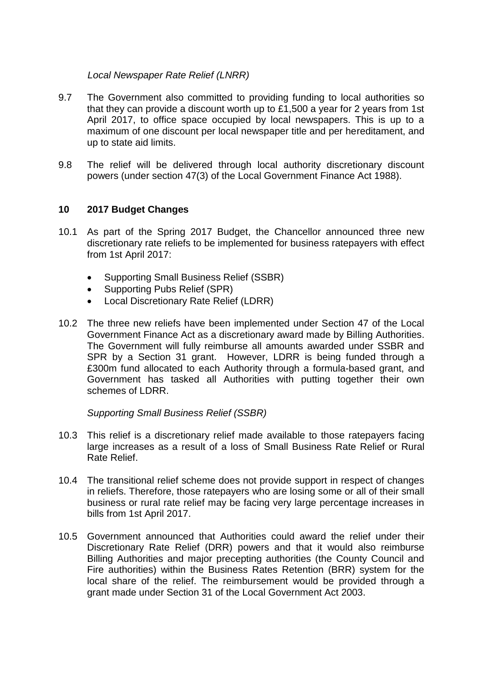## *Local Newspaper Rate Relief (LNRR)*

- 9.7 The Government also committed to providing funding to local authorities so that they can provide a discount worth up to £1,500 a year for 2 years from 1st April 2017, to office space occupied by local newspapers. This is up to a maximum of one discount per local newspaper title and per hereditament, and up to state aid limits.
- 9.8 The relief will be delivered through local authority discretionary discount powers (under section 47(3) of the Local Government Finance Act 1988).

# **10 2017 Budget Changes**

- 10.1 As part of the Spring 2017 Budget, the Chancellor announced three new discretionary rate reliefs to be implemented for business ratepayers with effect from 1st April 2017:
	- Supporting Small Business Relief (SSBR)
	- Supporting Pubs Relief (SPR)
	- Local Discretionary Rate Relief (LDRR)
- 10.2 The three new reliefs have been implemented under Section 47 of the Local Government Finance Act as a discretionary award made by Billing Authorities. The Government will fully reimburse all amounts awarded under SSBR and SPR by a Section 31 grant. However, LDRR is being funded through a £300m fund allocated to each Authority through a formula-based grant, and Government has tasked all Authorities with putting together their own schemes of LDRR.

## *Supporting Small Business Relief (SSBR)*

- 10.3 This relief is a discretionary relief made available to those ratepayers facing large increases as a result of a loss of Small Business Rate Relief or Rural Rate Relief.
- 10.4 The transitional relief scheme does not provide support in respect of changes in reliefs. Therefore, those ratepayers who are losing some or all of their small business or rural rate relief may be facing very large percentage increases in bills from 1st April 2017.
- 10.5 Government announced that Authorities could award the relief under their Discretionary Rate Relief (DRR) powers and that it would also reimburse Billing Authorities and major precepting authorities (the County Council and Fire authorities) within the Business Rates Retention (BRR) system for the local share of the relief. The reimbursement would be provided through a grant made under Section 31 of the Local Government Act 2003.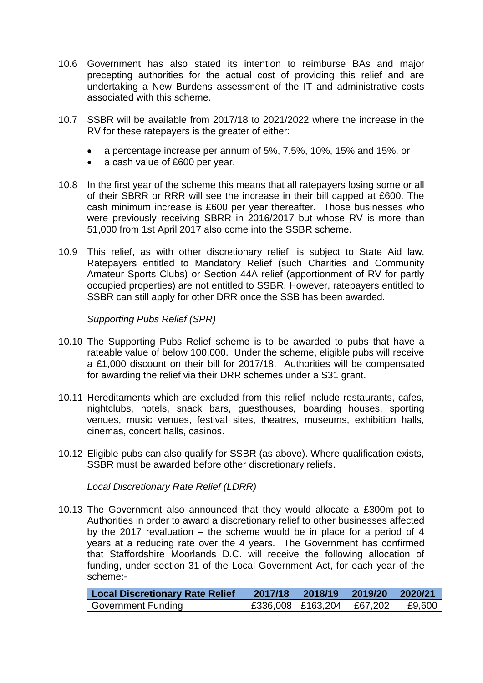- 10.6 Government has also stated its intention to reimburse BAs and major precepting authorities for the actual cost of providing this relief and are undertaking a New Burdens assessment of the IT and administrative costs associated with this scheme.
- 10.7 SSBR will be available from 2017/18 to 2021/2022 where the increase in the RV for these ratepayers is the greater of either:
	- a percentage increase per annum of 5%, 7.5%, 10%, 15% and 15%, or
	- a cash value of £600 per year.
- 10.8 In the first year of the scheme this means that all ratepayers losing some or all of their SBRR or RRR will see the increase in their bill capped at £600. The cash minimum increase is £600 per year thereafter. Those businesses who were previously receiving SBRR in 2016/2017 but whose RV is more than 51,000 from 1st April 2017 also come into the SSBR scheme.
- 10.9 This relief, as with other discretionary relief, is subject to State Aid law. Ratepayers entitled to Mandatory Relief (such Charities and Community Amateur Sports Clubs) or Section 44A relief (apportionment of RV for partly occupied properties) are not entitled to SSBR. However, ratepayers entitled to SSBR can still apply for other DRR once the SSB has been awarded.

*Supporting Pubs Relief (SPR)*

- 10.10 The Supporting Pubs Relief scheme is to be awarded to pubs that have a rateable value of below 100,000. Under the scheme, eligible pubs will receive a £1,000 discount on their bill for 2017/18. Authorities will be compensated for awarding the relief via their DRR schemes under a S31 grant.
- 10.11 Hereditaments which are excluded from this relief include restaurants, cafes, nightclubs, hotels, snack bars, guesthouses, boarding houses, sporting venues, music venues, festival sites, theatres, museums, exhibition halls, cinemas, concert halls, casinos.
- 10.12 Eligible pubs can also qualify for SSBR (as above). Where qualification exists, SSBR must be awarded before other discretionary reliefs.

*Local Discretionary Rate Relief (LDRR)*

10.13 The Government also announced that they would allocate a £300m pot to Authorities in order to award a discretionary relief to other businesses affected by the 2017 revaluation – the scheme would be in place for a period of 4 years at a reducing rate over the 4 years. The Government has confirmed that Staffordshire Moorlands D.C. will receive the following allocation of funding, under section 31 of the Local Government Act, for each year of the scheme:-

| <b>Local Discretionary Rate Relief</b> | 2017/18 | $2018/19$ 2019/20 2020/21         |        |
|----------------------------------------|---------|-----------------------------------|--------|
| Government Funding                     |         | $ $ £336,008   £163,204   £67,202 | £9,600 |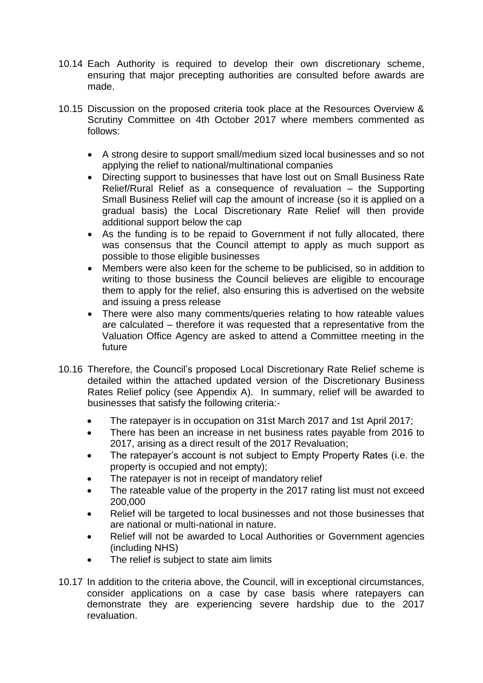- 10.14 Each Authority is required to develop their own discretionary scheme, ensuring that major precepting authorities are consulted before awards are made.
- 10.15 Discussion on the proposed criteria took place at the Resources Overview & Scrutiny Committee on 4th October 2017 where members commented as follows:
	- A strong desire to support small/medium sized local businesses and so not applying the relief to national/multinational companies
	- Directing support to businesses that have lost out on Small Business Rate Relief/Rural Relief as a consequence of revaluation – the Supporting Small Business Relief will cap the amount of increase (so it is applied on a gradual basis) the Local Discretionary Rate Relief will then provide additional support below the cap
	- As the funding is to be repaid to Government if not fully allocated, there was consensus that the Council attempt to apply as much support as possible to those eligible businesses
	- Members were also keen for the scheme to be publicised, so in addition to writing to those business the Council believes are eligible to encourage them to apply for the relief, also ensuring this is advertised on the website and issuing a press release
	- There were also many comments/queries relating to how rateable values are calculated – therefore it was requested that a representative from the Valuation Office Agency are asked to attend a Committee meeting in the future
- 10.16 Therefore, the Council's proposed Local Discretionary Rate Relief scheme is detailed within the attached updated version of the Discretionary Business Rates Relief policy (see Appendix A). In summary, relief will be awarded to businesses that satisfy the following criteria:-
	- The ratepayer is in occupation on 31st March 2017 and 1st April 2017;
	- There has been an increase in net business rates payable from 2016 to 2017, arising as a direct result of the 2017 Revaluation;
	- The ratepayer's account is not subject to Empty Property Rates (i.e. the property is occupied and not empty);
	- The ratepayer is not in receipt of mandatory relief
	- The rateable value of the property in the 2017 rating list must not exceed 200,000
	- Relief will be targeted to local businesses and not those businesses that are national or multi-national in nature.
	- Relief will not be awarded to Local Authorities or Government agencies (including NHS)
	- The relief is subject to state aim limits
- 10.17 In addition to the criteria above, the Council, will in exceptional circumstances, consider applications on a case by case basis where ratepayers can demonstrate they are experiencing severe hardship due to the 2017 revaluation.